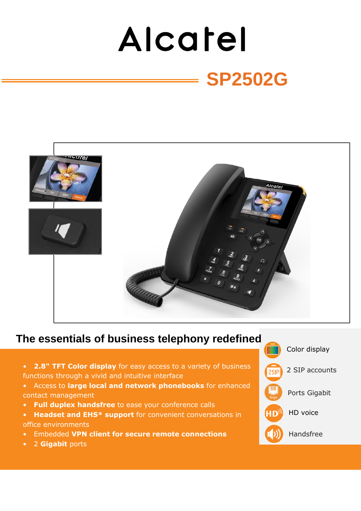# Alcatel **SP2502G**



# **The essentials of business telephony redefined**

- **2.8" TFT Color display** for easy access to a variety of business functions through a vivid and intuitive interface
- Access to **large local and network phonebooks** for enhanced contact management
- **Full duplex handsfree** to ease your conference calls
- **Headset and EHS\* support** for convenient conversations in office environments
- Embedded **VPN client for secure remote connections**
- 2 **Gigabit** ports